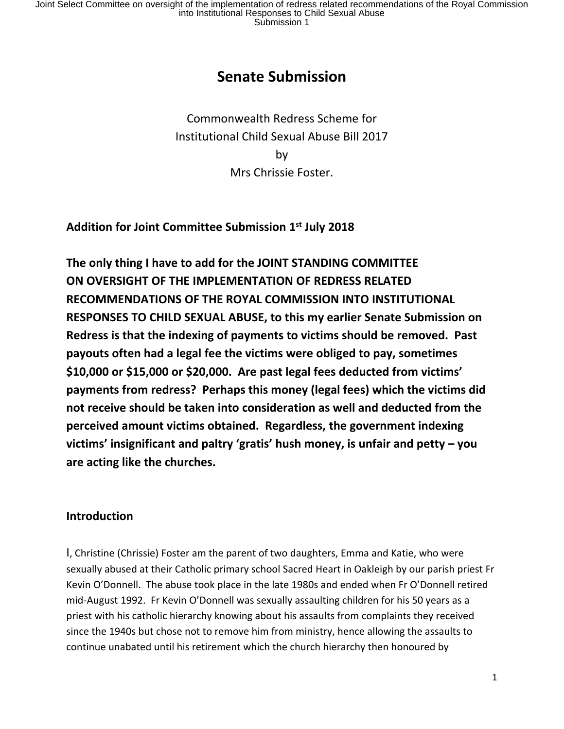# **Senate Submission**

Commonwealth Redress Scheme for Institutional Child Sexual Abuse Bill 2017 by Mrs Chrissie Foster.

**Addition for Joint Committee Submission 1 st July 2018**

**The only thing I have to add for the JOINT STANDING COMMITTEE ON OVERSIGHT OF THE IMPLEMENTATION OF REDRESS RELATED RECOMMENDATIONS OF THE ROYAL COMMISSION INTO INSTITUTIONAL RESPONSES TO CHILD SEXUAL ABUSE, to this my earlier Senate Submission on Redress is that the indexing of payments to victims should be removed. Past payouts often had a legal fee the victims were obliged to pay, sometimes \$10,000 or \$15,000 or \$20,000. Are past legal fees deducted from victims' payments from redress? Perhaps this money (legal fees) which the victims did not receive should be taken into consideration as well and deducted from the perceived amount victims obtained. Regardless, the government indexing victims' insignificant and paltry 'gratis' hush money, is unfair and petty – you are acting like the churches.**

#### **Introduction**

I, Christine (Chrissie) Foster am the parent of two daughters, Emma and Katie, who were sexually abused at their Catholic primary school Sacred Heart in Oakleigh by our parish priest Fr Kevin O'Donnell. The abuse took place in the late 1980s and ended when Fr O'Donnell retired mid-August 1992. Fr Kevin O'Donnell was sexually assaulting children for his 50 years as a priest with his catholic hierarchy knowing about his assaults from complaints they received since the 1940s but chose not to remove him from ministry, hence allowing the assaults to continue unabated until his retirement which the church hierarchy then honoured by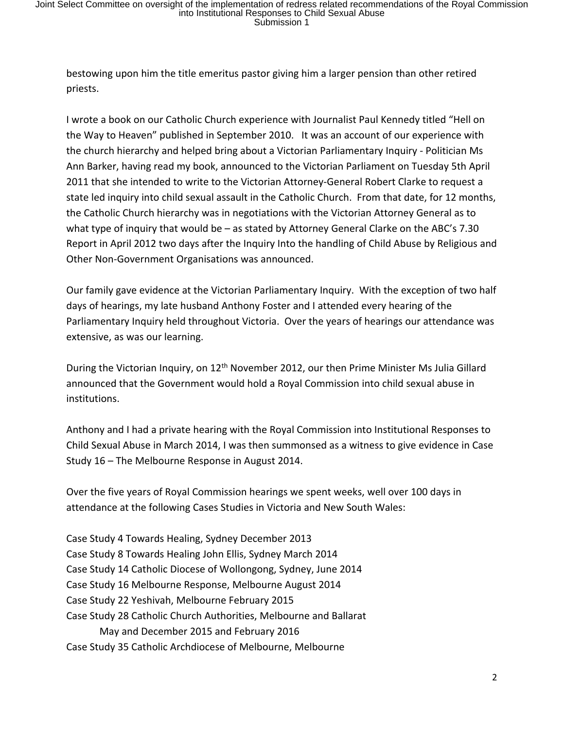bestowing upon him the title emeritus pastor giving him a larger pension than other retired priests.

I wrote a book on our Catholic Church experience with Journalist Paul Kennedy titled "Hell on the Way to Heaven" published in September 2010. It was an account of our experience with the church hierarchy and helped bring about a Victorian Parliamentary Inquiry - Politician Ms Ann Barker, having read my book, announced to the Victorian Parliament on Tuesday 5th April 2011 that she intended to write to the Victorian Attorney-General Robert Clarke to request a state led inquiry into child sexual assault in the Catholic Church. From that date, for 12 months, the Catholic Church hierarchy was in negotiations with the Victorian Attorney General as to what type of inquiry that would be – as stated by Attorney General Clarke on the ABC's 7.30 Report in April 2012 two days after the Inquiry Into the handling of Child Abuse by Religious and Other Non-Government Organisations was announced.

Our family gave evidence at the Victorian Parliamentary Inquiry. With the exception of two half days of hearings, my late husband Anthony Foster and I attended every hearing of the Parliamentary Inquiry held throughout Victoria. Over the years of hearings our attendance was extensive, as was our learning.

During the Victorian Inquiry, on 12<sup>th</sup> November 2012, our then Prime Minister Ms Julia Gillard announced that the Government would hold a Royal Commission into child sexual abuse in institutions.

Anthony and I had a private hearing with the Royal Commission into Institutional Responses to Child Sexual Abuse in March 2014, I was then summonsed as a witness to give evidence in Case Study 16 – The Melbourne Response in August 2014.

Over the five years of Royal Commission hearings we spent weeks, well over 100 days in attendance at the following Cases Studies in Victoria and New South Wales:

Case Study 4 Towards Healing, Sydney December 2013 Case Study 8 Towards Healing John Ellis, Sydney March 2014 Case Study 14 Catholic Diocese of Wollongong, Sydney, June 2014 Case Study 16 Melbourne Response, Melbourne August 2014 Case Study 22 Yeshivah, Melbourne February 2015 Case Study 28 Catholic Church Authorities, Melbourne and Ballarat May and December 2015 and February 2016 Case Study 35 Catholic Archdiocese of Melbourne, Melbourne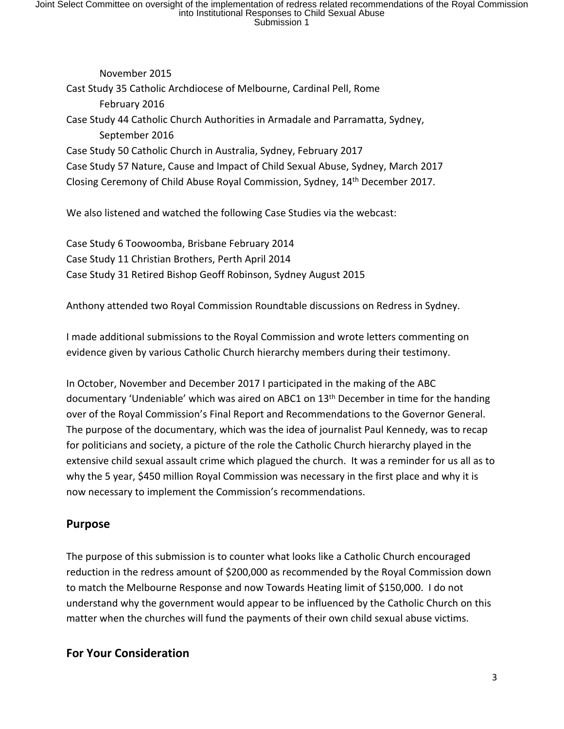November 2015 Cast Study 35 Catholic Archdiocese of Melbourne, Cardinal Pell, Rome February 2016 Case Study 44 Catholic Church Authorities in Armadale and Parramatta, Sydney, September 2016 Case Study 50 Catholic Church in Australia, Sydney, February 2017 Case Study 57 Nature, Cause and Impact of Child Sexual Abuse, Sydney, March 2017 Closing Ceremony of Child Abuse Royal Commission, Sydney, 14th December 2017. We also listened and watched the following Case Studies via the webcast:

Case Study 6 Toowoomba, Brisbane February 2014 Case Study 11 Christian Brothers, Perth April 2014 Case Study 31 Retired Bishop Geoff Robinson, Sydney August 2015

Anthony attended two Royal Commission Roundtable discussions on Redress in Sydney.

I made additional submissions to the Royal Commission and wrote letters commenting on evidence given by various Catholic Church hierarchy members during their testimony.

In October, November and December 2017 I participated in the making of the ABC documentary 'Undeniable' which was aired on ABC1 on 13<sup>th</sup> December in time for the handing over of the Royal Commission's Final Report and Recommendations to the Governor General. The purpose of the documentary, which was the idea of journalist Paul Kennedy, was to recap for politicians and society, a picture of the role the Catholic Church hierarchy played in the extensive child sexual assault crime which plagued the church. It was a reminder for us all as to why the 5 year, \$450 million Royal Commission was necessary in the first place and why it is now necessary to implement the Commission's recommendations.

### **Purpose**

The purpose of this submission is to counter what looks like a Catholic Church encouraged reduction in the redress amount of \$200,000 as recommended by the Royal Commission down to match the Melbourne Response and now Towards Heating limit of \$150,000. I do not understand why the government would appear to be influenced by the Catholic Church on this matter when the churches will fund the payments of their own child sexual abuse victims.

#### **For Your Consideration**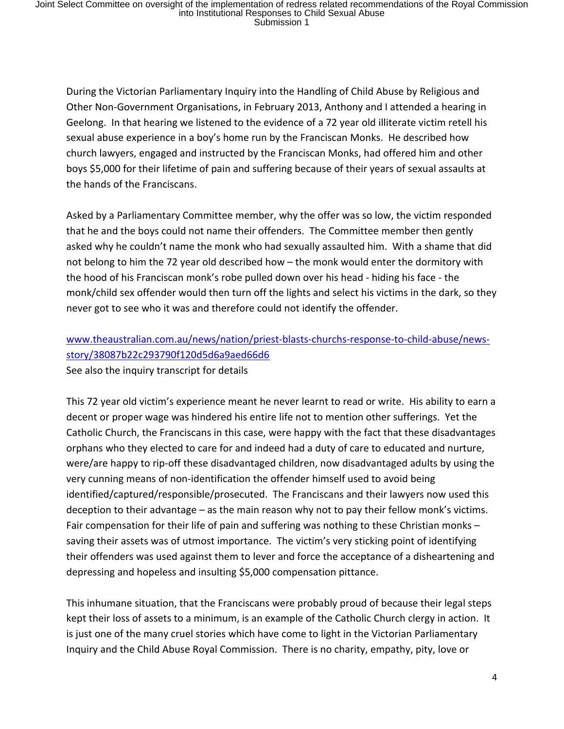During the Victorian Parliamentary Inquiry into the Handling of Child Abuse by Religious and Other Non-Government Organisations, in February 2013, Anthony and I attended a hearing in Geelong. In that hearing we listened to the evidence of a 72 year old illiterate victim retell his sexual abuse experience in a boy's home run by the Franciscan Monks. He described how church lawyers, engaged and instructed by the Franciscan Monks, had offered him and other boys \$5,000 for their lifetime of pain and suffering because of their years of sexual assaults at the hands of the Franciscans.

Asked by a Parliamentary Committee member, why the offer was so low, the victim responded that he and the boys could not name their offenders. The Committee member then gently asked why he couldn't name the monk who had sexually assaulted him. With a shame that did not belong to him the 72 year old described how – the monk would enter the dormitory with the hood of his Franciscan monk's robe pulled down over his head - hiding his face - the monk/child sex offender would then turn off the lights and select his victims in the dark, so they never got to see who it was and therefore could not identify the offender.

### www.theaustralian.com.au/news/nation/priest-blasts-churchs-response-to-child-abuse/newsstory/38087b22c293790f120d5d6a9aed66d6 See also the inquiry transcript for details

This 72 year old victim's experience meant he never learnt to read or write. His ability to earn a decent or proper wage was hindered his entire life not to mention other sufferings. Yet the Catholic Church, the Franciscans in this case, were happy with the fact that these disadvantages orphans who they elected to care for and indeed had a duty of care to educated and nurture, were/are happy to rip-off these disadvantaged children, now disadvantaged adults by using the very cunning means of non-identification the offender himself used to avoid being identified/captured/responsible/prosecuted. The Franciscans and their lawyers now used this deception to their advantage – as the main reason why not to pay their fellow monk's victims. Fair compensation for their life of pain and suffering was nothing to these Christian monks – saving their assets was of utmost importance. The victim's very sticking point of identifying their offenders was used against them to lever and force the acceptance of a disheartening and depressing and hopeless and insulting \$5,000 compensation pittance.

This inhumane situation, that the Franciscans were probably proud of because their legal steps kept their loss of assets to a minimum, is an example of the Catholic Church clergy in action. It is just one of the many cruel stories which have come to light in the Victorian Parliamentary Inquiry and the Child Abuse Royal Commission. There is no charity, empathy, pity, love or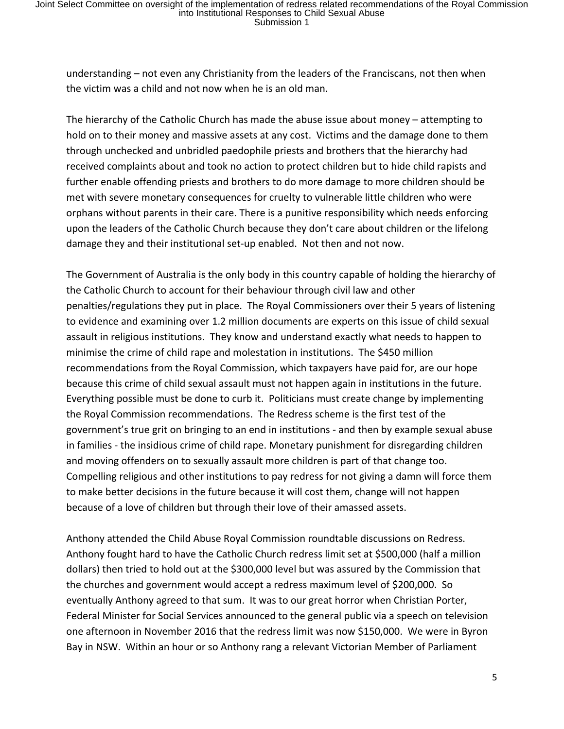understanding – not even any Christianity from the leaders of the Franciscans, not then when the victim was a child and not now when he is an old man.

The hierarchy of the Catholic Church has made the abuse issue about money – attempting to hold on to their money and massive assets at any cost. Victims and the damage done to them through unchecked and unbridled paedophile priests and brothers that the hierarchy had received complaints about and took no action to protect children but to hide child rapists and further enable offending priests and brothers to do more damage to more children should be met with severe monetary consequences for cruelty to vulnerable little children who were orphans without parents in their care. There is a punitive responsibility which needs enforcing upon the leaders of the Catholic Church because they don't care about children or the lifelong damage they and their institutional set-up enabled. Not then and not now.

The Government of Australia is the only body in this country capable of holding the hierarchy of the Catholic Church to account for their behaviour through civil law and other penalties/regulations they put in place. The Royal Commissioners over their 5 years of listening to evidence and examining over 1.2 million documents are experts on this issue of child sexual assault in religious institutions. They know and understand exactly what needs to happen to minimise the crime of child rape and molestation in institutions. The \$450 million recommendations from the Royal Commission, which taxpayers have paid for, are our hope because this crime of child sexual assault must not happen again in institutions in the future. Everything possible must be done to curb it. Politicians must create change by implementing the Royal Commission recommendations. The Redress scheme is the first test of the government's true grit on bringing to an end in institutions - and then by example sexual abuse in families - the insidious crime of child rape. Monetary punishment for disregarding children and moving offenders on to sexually assault more children is part of that change too. Compelling religious and other institutions to pay redress for not giving a damn will force them to make better decisions in the future because it will cost them, change will not happen because of a love of children but through their love of their amassed assets.

Anthony attended the Child Abuse Royal Commission roundtable discussions on Redress. Anthony fought hard to have the Catholic Church redress limit set at \$500,000 (half a million dollars) then tried to hold out at the \$300,000 level but was assured by the Commission that the churches and government would accept a redress maximum level of \$200,000. So eventually Anthony agreed to that sum. It was to our great horror when Christian Porter, Federal Minister for Social Services announced to the general public via a speech on television one afternoon in November 2016 that the redress limit was now \$150,000. We were in Byron Bay in NSW. Within an hour or so Anthony rang a relevant Victorian Member of Parliament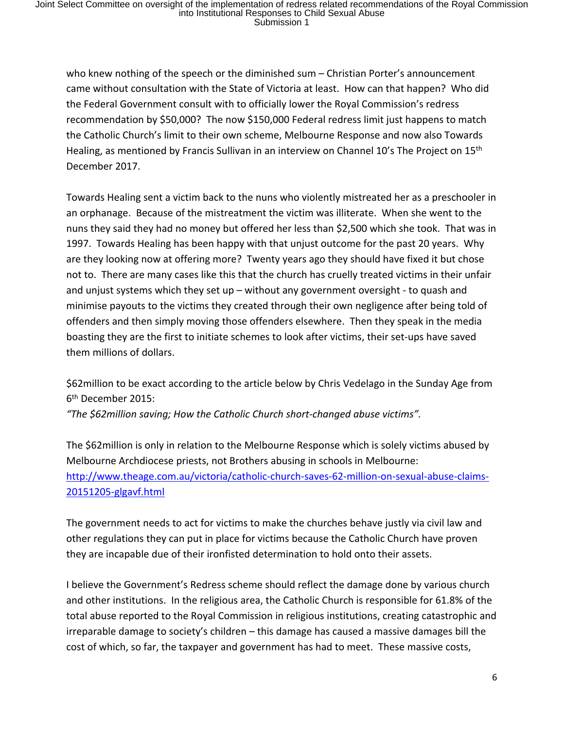who knew nothing of the speech or the diminished sum – Christian Porter's announcement came without consultation with the State of Victoria at least. How can that happen? Who did the Federal Government consult with to officially lower the Royal Commission's redress recommendation by \$50,000? The now \$150,000 Federal redress limit just happens to match the Catholic Church's limit to their own scheme, Melbourne Response and now also Towards Healing, as mentioned by Francis Sullivan in an interview on Channel 10's The Project on 15<sup>th</sup> December 2017.

Towards Healing sent a victim back to the nuns who violently mistreated her as a preschooler in an orphanage. Because of the mistreatment the victim was illiterate. When she went to the nuns they said they had no money but offered her less than \$2,500 which she took. That was in 1997. Towards Healing has been happy with that unjust outcome for the past 20 years. Why are they looking now at offering more? Twenty years ago they should have fixed it but chose not to. There are many cases like this that the church has cruelly treated victims in their unfair and unjust systems which they set up – without any government oversight - to quash and minimise payouts to the victims they created through their own negligence after being told of offenders and then simply moving those offenders elsewhere. Then they speak in the media boasting they are the first to initiate schemes to look after victims, their set-ups have saved them millions of dollars.

\$62million to be exact according to the article below by Chris Vedelago in the Sunday Age from 6 th December 2015:

*"The \$62million saving; How the Catholic Church short-changed abuse victims".* 

The \$62million is only in relation to the Melbourne Response which is solely victims abused by Melbourne Archdiocese priests, not Brothers abusing in schools in Melbourne: http://www.theage.com.au/victoria/catholic-church-saves-62-million-on-sexual-abuse-claims-20151205-glgavf.html

The government needs to act for victims to make the churches behave justly via civil law and other regulations they can put in place for victims because the Catholic Church have proven they are incapable due of their ironfisted determination to hold onto their assets.

I believe the Government's Redress scheme should reflect the damage done by various church and other institutions. In the religious area, the Catholic Church is responsible for 61.8% of the total abuse reported to the Royal Commission in religious institutions, creating catastrophic and irreparable damage to society's children – this damage has caused a massive damages bill the cost of which, so far, the taxpayer and government has had to meet. These massive costs,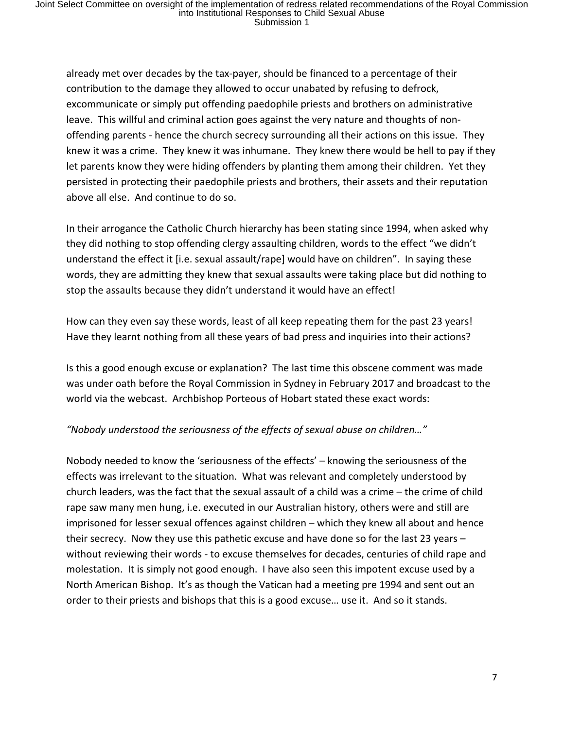already met over decades by the tax-payer, should be financed to a percentage of their contribution to the damage they allowed to occur unabated by refusing to defrock, excommunicate or simply put offending paedophile priests and brothers on administrative leave. This willful and criminal action goes against the very nature and thoughts of nonoffending parents - hence the church secrecy surrounding all their actions on this issue. They knew it was a crime. They knew it was inhumane. They knew there would be hell to pay if they let parents know they were hiding offenders by planting them among their children. Yet they persisted in protecting their paedophile priests and brothers, their assets and their reputation above all else. And continue to do so.

In their arrogance the Catholic Church hierarchy has been stating since 1994, when asked why they did nothing to stop offending clergy assaulting children, words to the effect "we didn't understand the effect it [i.e. sexual assault/rape] would have on children". In saying these words, they are admitting they knew that sexual assaults were taking place but did nothing to stop the assaults because they didn't understand it would have an effect!

How can they even say these words, least of all keep repeating them for the past 23 years! Have they learnt nothing from all these years of bad press and inquiries into their actions?

Is this a good enough excuse or explanation? The last time this obscene comment was made was under oath before the Royal Commission in Sydney in February 2017 and broadcast to the world via the webcast. Archbishop Porteous of Hobart stated these exact words:

#### *"Nobody understood the seriousness of the effects of sexual abuse on children…"*

Nobody needed to know the 'seriousness of the effects' – knowing the seriousness of the effects was irrelevant to the situation. What was relevant and completely understood by church leaders, was the fact that the sexual assault of a child was a crime – the crime of child rape saw many men hung, i.e. executed in our Australian history, others were and still are imprisoned for lesser sexual offences against children – which they knew all about and hence their secrecy. Now they use this pathetic excuse and have done so for the last 23 years – without reviewing their words - to excuse themselves for decades, centuries of child rape and molestation. It is simply not good enough. I have also seen this impotent excuse used by a North American Bishop. It's as though the Vatican had a meeting pre 1994 and sent out an order to their priests and bishops that this is a good excuse… use it. And so it stands.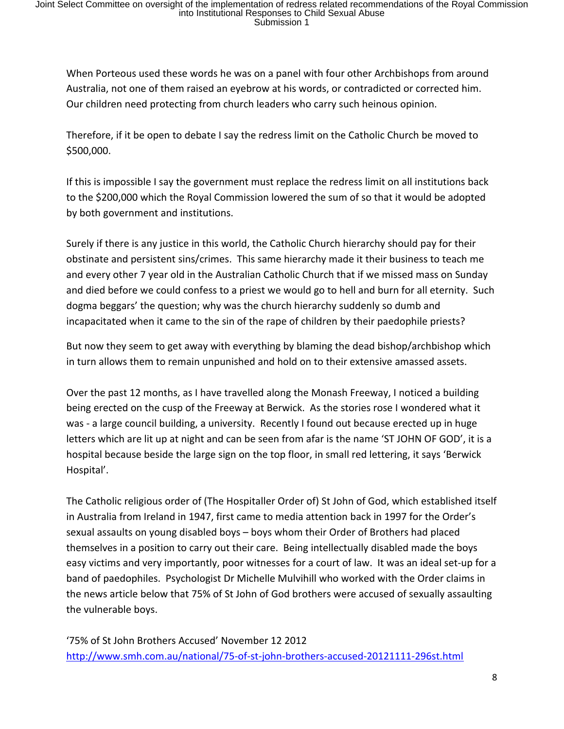When Porteous used these words he was on a panel with four other Archbishops from around Australia, not one of them raised an eyebrow at his words, or contradicted or corrected him. Our children need protecting from church leaders who carry such heinous opinion.

Therefore, if it be open to debate I say the redress limit on the Catholic Church be moved to \$500,000.

If this is impossible I say the government must replace the redress limit on all institutions back to the \$200,000 which the Royal Commission lowered the sum of so that it would be adopted by both government and institutions.

Surely if there is any justice in this world, the Catholic Church hierarchy should pay for their obstinate and persistent sins/crimes. This same hierarchy made it their business to teach me and every other 7 year old in the Australian Catholic Church that if we missed mass on Sunday and died before we could confess to a priest we would go to hell and burn for all eternity. Such dogma beggars' the question; why was the church hierarchy suddenly so dumb and incapacitated when it came to the sin of the rape of children by their paedophile priests?

But now they seem to get away with everything by blaming the dead bishop/archbishop which in turn allows them to remain unpunished and hold on to their extensive amassed assets.

Over the past 12 months, as I have travelled along the Monash Freeway, I noticed a building being erected on the cusp of the Freeway at Berwick. As the stories rose I wondered what it was - a large council building, a university. Recently I found out because erected up in huge letters which are lit up at night and can be seen from afar is the name 'ST JOHN OF GOD', it is a hospital because beside the large sign on the top floor, in small red lettering, it says 'Berwick Hospital'.

The Catholic religious order of (The Hospitaller Order of) St John of God, which established itself in Australia from Ireland in 1947, first came to media attention back in 1997 for the Order's sexual assaults on young disabled boys – boys whom their Order of Brothers had placed themselves in a position to carry out their care. Being intellectually disabled made the boys easy victims and very importantly, poor witnesses for a court of law. It was an ideal set-up for a band of paedophiles. Psychologist Dr Michelle Mulvihill who worked with the Order claims in the news article below that 75% of St John of God brothers were accused of sexually assaulting the vulnerable boys.

'75% of St John Brothers Accused' November 12 2012 http://www.smh.com.au/national/75-of-st-john-brothers-accused-20121111-296st.html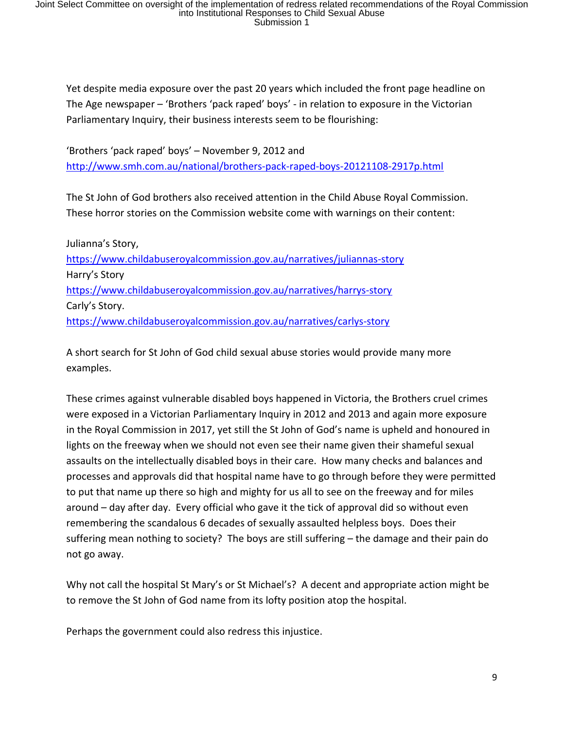Yet despite media exposure over the past 20 years which included the front page headline on The Age newspaper – 'Brothers 'pack raped' boys' - in relation to exposure in the Victorian Parliamentary Inquiry, their business interests seem to be flourishing:

'Brothers 'pack raped' boys' – November 9, 2012 and http://www.smh.com.au/national/brothers-pack-raped-boys-20121108-2917p.html

The St John of God brothers also received attention in the Child Abuse Royal Commission. These horror stories on the Commission website come with warnings on their content:

Julianna's Story, https://www.childabuseroyalcommission.gov.au/narratives/juliannas-story Harry's Story https://www.childabuseroyalcommission.gov.au/narratives/harrys-story Carly's Story. https://www.childabuseroyalcommission.gov.au/narratives/carlys-story

A short search for St John of God child sexual abuse stories would provide many more examples.

These crimes against vulnerable disabled boys happened in Victoria, the Brothers cruel crimes were exposed in a Victorian Parliamentary Inquiry in 2012 and 2013 and again more exposure in the Royal Commission in 2017, yet still the St John of God's name is upheld and honoured in lights on the freeway when we should not even see their name given their shameful sexual assaults on the intellectually disabled boys in their care. How many checks and balances and processes and approvals did that hospital name have to go through before they were permitted to put that name up there so high and mighty for us all to see on the freeway and for miles around – day after day. Every official who gave it the tick of approval did so without even remembering the scandalous 6 decades of sexually assaulted helpless boys. Does their suffering mean nothing to society? The boys are still suffering – the damage and their pain do not go away.

Why not call the hospital St Mary's or St Michael's? A decent and appropriate action might be to remove the St John of God name from its lofty position atop the hospital.

Perhaps the government could also redress this injustice.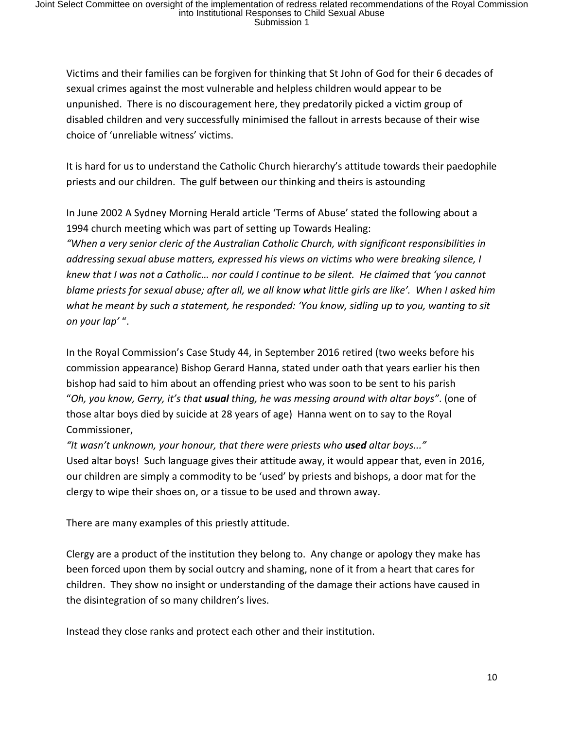Victims and their families can be forgiven for thinking that St John of God for their 6 decades of sexual crimes against the most vulnerable and helpless children would appear to be unpunished. There is no discouragement here, they predatorily picked a victim group of disabled children and very successfully minimised the fallout in arrests because of their wise choice of 'unreliable witness' victims.

It is hard for us to understand the Catholic Church hierarchy's attitude towards their paedophile priests and our children. The gulf between our thinking and theirs is astounding

In June 2002 A Sydney Morning Herald article 'Terms of Abuse' stated the following about a 1994 church meeting which was part of setting up Towards Healing:

*"When a very senior cleric of the Australian Catholic Church, with significant responsibilities in addressing sexual abuse matters, expressed his views on victims who were breaking silence, I knew that I was not a Catholic… nor could I continue to be silent. He claimed that 'you cannot* blame priests for sexual abuse; after all, we all know what little girls are like'. When I asked him *what he meant by such a statement, he responded: 'You know, sidling up to you, wanting to sit on your lap'* ".

In the Royal Commission's Case Study 44, in September 2016 retired (two weeks before his commission appearance) Bishop Gerard Hanna, stated under oath that years earlier his then bishop had said to him about an offending priest who was soon to be sent to his parish "*Oh, you know, Gerry, it's that usual thing, he was messing around with altar boys"*. (one of those altar boys died by suicide at 28 years of age) Hanna went on to say to the Royal Commissioner,

*"It wasn't unknown, your honour, that there were priests who used altar boys..."* Used altar boys! Such language gives their attitude away, it would appear that, even in 2016, our children are simply a commodity to be 'used' by priests and bishops, a door mat for the clergy to wipe their shoes on, or a tissue to be used and thrown away.

There are many examples of this priestly attitude.

Clergy are a product of the institution they belong to. Any change or apology they make has been forced upon them by social outcry and shaming, none of it from a heart that cares for children. They show no insight or understanding of the damage their actions have caused in the disintegration of so many children's lives.

Instead they close ranks and protect each other and their institution.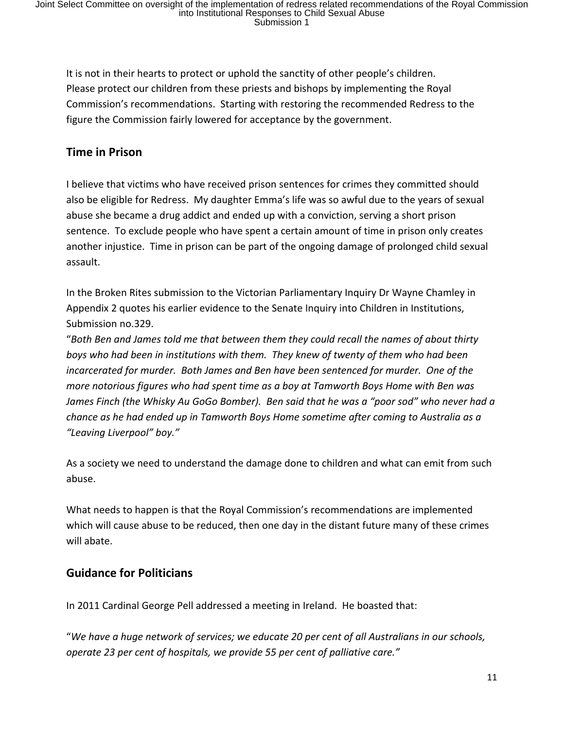It is not in their hearts to protect or uphold the sanctity of other people's children. Please protect our children from these priests and bishops by implementing the Royal Commission's recommendations. Starting with restoring the recommended Redress to the figure the Commission fairly lowered for acceptance by the government.

### **Time in Prison**

I believe that victims who have received prison sentences for crimes they committed should also be eligible for Redress. My daughter Emma's life was so awful due to the years of sexual abuse she became a drug addict and ended up with a conviction, serving a short prison sentence. To exclude people who have spent a certain amount of time in prison only creates another injustice. Time in prison can be part of the ongoing damage of prolonged child sexual assault.

In the Broken Rites submission to the Victorian Parliamentary Inquiry Dr Wayne Chamley in Appendix 2 quotes his earlier evidence to the Senate Inquiry into Children in Institutions, Submission no.329.

"*Both Ben and James told me that between them they could recall the names of about thirty boys who had been in institutions with them. They knew of twenty of them who had been incarcerated for murder. Both James and Ben have been sentenced for murder. One of the more notorious figures who had spent time as a boy at Tamworth Boys Home with Ben was James Finch (the Whisky Au GoGo Bomber). Ben said that he was a "poor sod" who never had a chance as he had ended up in Tamworth Boys Home sometime after coming to Australia as a "Leaving Liverpool" boy."*

As a society we need to understand the damage done to children and what can emit from such abuse.

What needs to happen is that the Royal Commission's recommendations are implemented which will cause abuse to be reduced, then one day in the distant future many of these crimes will abate.

### **Guidance for Politicians**

In 2011 Cardinal George Pell addressed a meeting in Ireland. He boasted that:

"*We have a huge network of services; we educate 20 per cent of all Australians in our schools, operate 23 per cent of hospitals, we provide 55 per cent of palliative care."*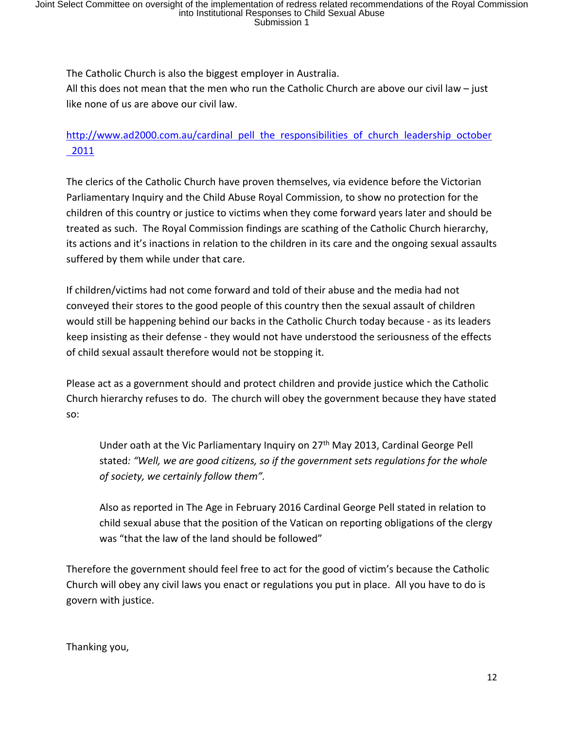The Catholic Church is also the biggest employer in Australia.

All this does not mean that the men who run the Catholic Church are above our civil law – just like none of us are above our civil law.

## http://www.ad2000.com.au/cardinal pell the responsibilities of church leadership october 2011

The clerics of the Catholic Church have proven themselves, via evidence before the Victorian Parliamentary Inquiry and the Child Abuse Royal Commission, to show no protection for the children of this country or justice to victims when they come forward years later and should be treated as such. The Royal Commission findings are scathing of the Catholic Church hierarchy, its actions and it's inactions in relation to the children in its care and the ongoing sexual assaults suffered by them while under that care.

If children/victims had not come forward and told of their abuse and the media had not conveyed their stores to the good people of this country then the sexual assault of children would still be happening behind our backs in the Catholic Church today because - as its leaders keep insisting as their defense - they would not have understood the seriousness of the effects of child sexual assault therefore would not be stopping it.

Please act as a government should and protect children and provide justice which the Catholic Church hierarchy refuses to do. The church will obey the government because they have stated so:

Under oath at the Vic Parliamentary Inquiry on 27<sup>th</sup> May 2013, Cardinal George Pell stated*: "Well, we are good citizens, so if the government sets regulations for the whole of society, we certainly follow them".*

Also as reported in The Age in February 2016 Cardinal George Pell stated in relation to child sexual abuse that the position of the Vatican on reporting obligations of the clergy was "that the law of the land should be followed"

Therefore the government should feel free to act for the good of victim's because the Catholic Church will obey any civil laws you enact or regulations you put in place. All you have to do is govern with justice.

Thanking you,